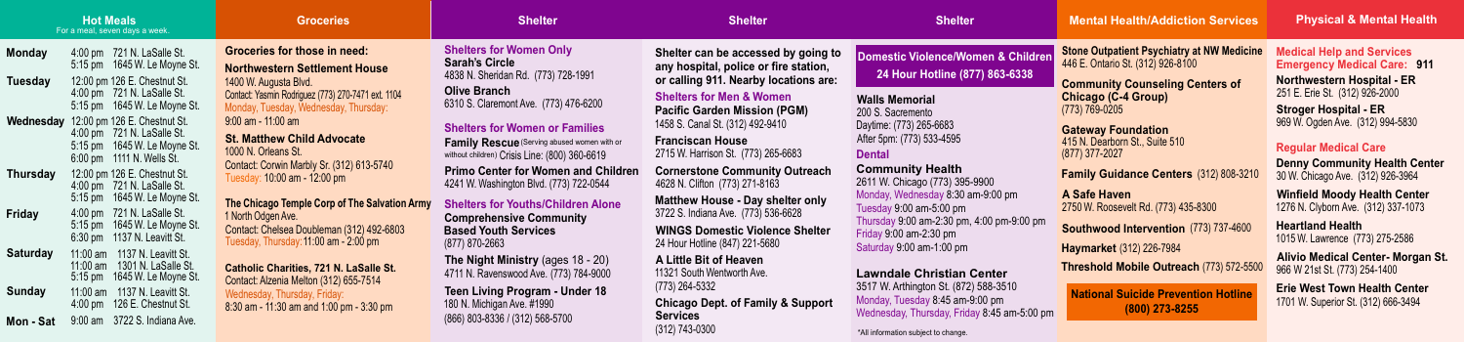#### **Groceries**

#### **Parager Settlement House** ugusta Blvd. smin Rodriguez (773) 270-7471 ext. 1104 uesday, Wednesday, Thursday: 9:00 am - 11:00 am

**hew Child Advocate** rleans St. Corwin Marbly Sr. (312) 613-5740 10:00 am - 12:00 pm

**The Chicago Temple Corp of The Salvation Army** hursday: 11:00 am - 2:00 pm lgen Ave. helsea Doubleman (312) 492-6803

**Charities, 721 N. LaSalle St. Nzenia Melton (312) 655-7514** y. Thursday, Friday:  $11:30$  am and 1:00 pm - 3:30 pm **Medical Help and Services Emergency Medical Care: 911**

| <b>Monday</b>   | $4:00 \text{ pm}$                             | 721 N. LaSalle St.                                                         | Groceri                                    |
|-----------------|-----------------------------------------------|----------------------------------------------------------------------------|--------------------------------------------|
|                 | $5:15$ pm                                     | 1645 W. Le Moyne St.                                                       | <b>Northwe</b>                             |
| <b>Tuesday</b>  | $4:00$ pm<br>5:15 pm                          | 12:00 pm 126 E. Chestnut St.<br>721 N. LaSalle St.<br>1645 W. Le Moyne St. | 1400 W. A<br>Contact: Yas<br>Monday, T     |
| Wednesday       |                                               | 12:00 pm 126 E. Chestnut St.                                               | $9:00$ am -                                |
|                 | $4:00$ pm<br>$5:15$ pm<br>$6:00 \text{ pm}$   | 721 N. LaSalle St.<br>1645 W. Le Moyne St.<br>1111 N. Wells St.            | <b>St. Mattl</b><br>1000 N.O<br>Contact: C |
| <b>Thursday</b> | $4:00$ pm<br>$5:15$ pm                        | 12:00 pm 126 E. Chestnut St.<br>721 N. LaSalle St.<br>1645 W. Le Moyne St. | Tuesday:<br><b>The Chica</b>               |
| <b>Friday</b>   | 4:00 pm<br>$5:15$ pm<br>$6:30 \text{ pm}$     | 721 N. LaSalle St.<br>1645 W. Le Moyne St.<br>1137 N. Leavitt St.          | 1 North Od<br>Contact: C<br>Tuesday, 7     |
| <b>Saturday</b> | $11:00$ am<br>$11:00$ am<br>$5:15 \text{ pm}$ | 1137 N. Leavitt St.<br>1301 N. LaSalle St.<br>1645 W. Le Moyne St.         | <b>Catholic</b><br><b>Contact: A</b>       |
| <b>Sunday</b>   | $11:00$ am<br>$4:00 \text{ pm}$               | 1137 N. Leavitt St.<br>126 E. Chestnut St.                                 | Wednesda<br>$8:30$ am -                    |
| Mon - Sat       | $9:00 \text{ am}$                             | 3722 S. Indiana Ave.                                                       |                                            |

**es for those in need:** 

\*All information subject to change.

**Walls Memorial** 200 S. Sacremento

Daytime: (773) 265-6683 After 5pm: (773) 533-4595

**Domestic Violence/Women & Children 24 Hour Hotline (877) 863-6338**

**Dental**

# **Community Health**

2611 W. Chicago (773) 395-9900 Monday, Wednesday 8:30 am-9:00 pm Tuesday 9:00 am-5:00 pm Thursday 9:00 am-2:30 pm, 4:00 pm-9:00 pm Friday 9:00 am-2:30 pm Saturday 9:00 am-1:00 pm

# **Lawndale Christian Center**

3517 W. Arthington St. (872) 588-3510 Monday, Tuesday 8:45 am-9:00 pm Wednesday, Thursday, Friday 8:45 am-5:00 pm

**Threshold Mobile Outreach** (773) 572-5500

**A Safe Haven** 2750 W. Roosevelt Rd. (773) 435-8300

**National Suicide Prevention Hotline (800) 273-8255**

**Stone Outpatient Psychiatry at NW Medicine** 446 E. Ontario St. (312) 926-8100

**Community Counseling Centers of Chicago (C-4 Group)** (773) 769-0205

**Gateway Foundation** 415 N. Dearborn St., Suite 510 (877) 377-2027

**Family Guidance Centers** (312) 808-3210

**Southwood Intervention** (773) 737-4600

**Haymarket** (312) 226-7984

**Shelter can be accessed by going to any hospital, police or fire station, or calling 911. Nearby locations are:**

**Shelters for Men & Women Pacific Garden Mission (PGM)** 1458 S. Canal St. (312) 492-9410

**Franciscan House** 2715 W. Harrison St. (773) 265-6683

**Cornerstone Community Outreach** 4628 N. Clifton (773) 271-8163

**Matthew House - Day shelter only** 3722 S. Indiana Ave. (773) 536-6628

**A Little Bit of Heaven** 11321 South Wentworth Ave. (773) 264-5332

**WINGS Domestic Violence Shelter** 24 Hour Hotline (847) 221-5680

**Chicago Dept. of Family & Support Services** (312) 743-0300

| Shelter |  |  |  |  |  |
|---------|--|--|--|--|--|
|---------|--|--|--|--|--|

**Shelters for Women Only Sarah's Circle** 4838 N. Sheridan Rd. (773) 728-1991 **Olive Branch** 6310 S. Claremont Ave. (773) 476-6200

#### **Shelters for Women or Families**

**Family Rescue** (Serving abused women with or without children) Crisis Line: (800) 360-6619 **Primo Center for Women and Children** 4241 W. Washington Blvd. (773) 722-0544

**Shelters for Youths/Children Alone Comprehensive Community Based Youth Services**  (877) 870-2663

**The Night Ministry** (ages 18 - 20) 4711 N. Ravenswood Ave. (773) 784-9000

**Teen Living Program - Under 18** 180 N. Michigan Ave. #1990 (866) 803-8336 / (312) 568-5700

**Northwestern Hospital - ER** 251 E. Erie St. (312) 926-2000

**Stroger Hospital - ER** 969 W. Ogden Ave. (312) 994-5830

### **Regular Medical Care**

**Denny Community Health Center** 30 W. Chicago Ave. (312) 926-3964

**Winfield Moody Health Center** 1276 N. Clyborn Ave. (312) 337-1073

**Heartland Health**  1015 W. Lawrence (773) 275-2586

**Alivio Medical Center- Morgan St.** 966 W 21st St. (773) 254-1400

**Erie West Town Health Center** 1701 W. Superior St. (312) 666-3494